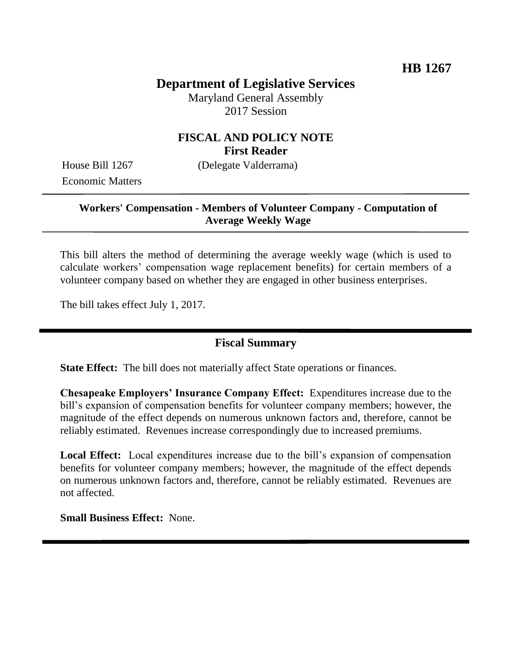# **Department of Legislative Services**

Maryland General Assembly 2017 Session

### **FISCAL AND POLICY NOTE First Reader**

Economic Matters

House Bill 1267 (Delegate Valderrama)

#### **Workers' Compensation - Members of Volunteer Company - Computation of Average Weekly Wage**

This bill alters the method of determining the average weekly wage (which is used to calculate workers' compensation wage replacement benefits) for certain members of a volunteer company based on whether they are engaged in other business enterprises.

The bill takes effect July 1, 2017.

#### **Fiscal Summary**

**State Effect:** The bill does not materially affect State operations or finances.

**Chesapeake Employers' Insurance Company Effect:** Expenditures increase due to the bill's expansion of compensation benefits for volunteer company members; however, the magnitude of the effect depends on numerous unknown factors and, therefore, cannot be reliably estimated. Revenues increase correspondingly due to increased premiums.

**Local Effect:** Local expenditures increase due to the bill's expansion of compensation benefits for volunteer company members; however, the magnitude of the effect depends on numerous unknown factors and, therefore, cannot be reliably estimated. Revenues are not affected.

**Small Business Effect:** None.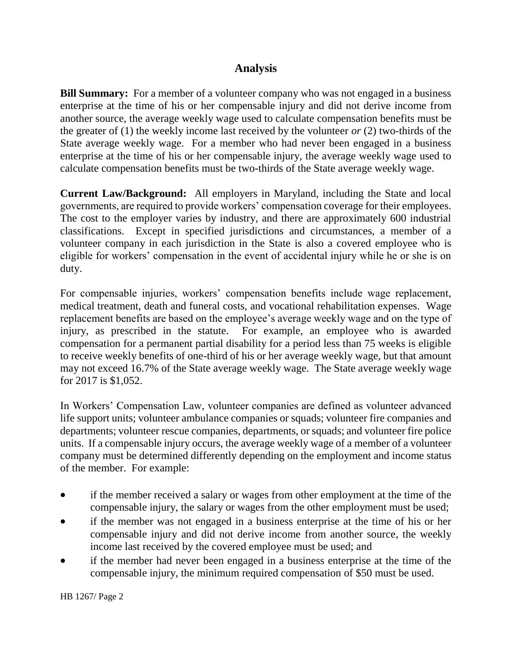## **Analysis**

**Bill Summary:** For a member of a volunteer company who was not engaged in a business enterprise at the time of his or her compensable injury and did not derive income from another source, the average weekly wage used to calculate compensation benefits must be the greater of (1) the weekly income last received by the volunteer *or* (2) two-thirds of the State average weekly wage. For a member who had never been engaged in a business enterprise at the time of his or her compensable injury, the average weekly wage used to calculate compensation benefits must be two-thirds of the State average weekly wage.

**Current Law/Background:** All employers in Maryland, including the State and local governments, are required to provide workers' compensation coverage for their employees. The cost to the employer varies by industry, and there are approximately 600 industrial classifications. Except in specified jurisdictions and circumstances, a member of a volunteer company in each jurisdiction in the State is also a covered employee who is eligible for workers' compensation in the event of accidental injury while he or she is on duty.

For compensable injuries, workers' compensation benefits include wage replacement, medical treatment, death and funeral costs, and vocational rehabilitation expenses. Wage replacement benefits are based on the employee's average weekly wage and on the type of injury, as prescribed in the statute. For example, an employee who is awarded compensation for a permanent partial disability for a period less than 75 weeks is eligible to receive weekly benefits of one-third of his or her average weekly wage, but that amount may not exceed 16.7% of the State average weekly wage. The State average weekly wage for 2017 is \$1,052.

In Workers' Compensation Law, volunteer companies are defined as volunteer advanced life support units; volunteer ambulance companies or squads; volunteer fire companies and departments; volunteer rescue companies, departments, or squads; and volunteer fire police units. If a compensable injury occurs, the average weekly wage of a member of a volunteer company must be determined differently depending on the employment and income status of the member. For example:

- if the member received a salary or wages from other employment at the time of the compensable injury, the salary or wages from the other employment must be used;
- if the member was not engaged in a business enterprise at the time of his or her compensable injury and did not derive income from another source, the weekly income last received by the covered employee must be used; and
- if the member had never been engaged in a business enterprise at the time of the compensable injury, the minimum required compensation of \$50 must be used.

HB 1267/ Page 2